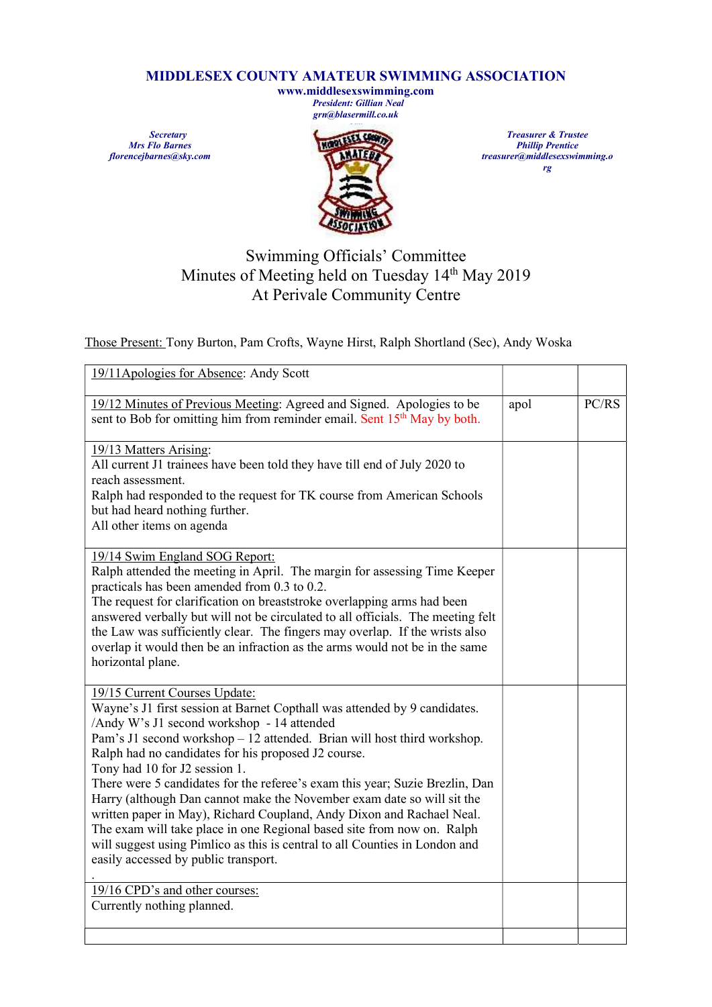## MIDDLESEX COUNTY AMATEUR SWIMMING ASSOCIATION

www.middlesexswimming.com President: Gillian Neal grn@blasermill.co.uk

**Secretary** Mrs Flo Barnes florencejbarnes@sky.com



Treasurer & Trustee Phillip Prentice treasurer@middlesexswimming.o rg

## Swimming Officials' Committee Minutes of Meeting held on Tuesday 14<sup>th</sup> May 2019 At Perivale Community Centre

Those Present: Tony Burton, Pam Crofts, Wayne Hirst, Ralph Shortland (Sec), Andy Woska

| 19/11Apologies for Absence: Andy Scott                                                                                                                                                                                                                                                                                                                                                                                                |      |       |
|---------------------------------------------------------------------------------------------------------------------------------------------------------------------------------------------------------------------------------------------------------------------------------------------------------------------------------------------------------------------------------------------------------------------------------------|------|-------|
| 19/12 Minutes of Previous Meeting: Agreed and Signed. Apologies to be<br>sent to Bob for omitting him from reminder email. Sent 15 <sup>th</sup> May by both.                                                                                                                                                                                                                                                                         | apol | PC/RS |
| 19/13 Matters Arising:<br>All current J1 trainees have been told they have till end of July 2020 to<br>reach assessment.<br>Ralph had responded to the request for TK course from American Schools<br>but had heard nothing further.                                                                                                                                                                                                  |      |       |
| All other items on agenda<br>19/14 Swim England SOG Report:<br>Ralph attended the meeting in April. The margin for assessing Time Keeper<br>practicals has been amended from 0.3 to 0.2.<br>The request for clarification on breaststroke overlapping arms had been<br>answered verbally but will not be circulated to all officials. The meeting felt<br>the Law was sufficiently clear. The fingers may overlap. If the wrists also |      |       |
| overlap it would then be an infraction as the arms would not be in the same<br>horizontal plane.                                                                                                                                                                                                                                                                                                                                      |      |       |
| 19/15 Current Courses Update:<br>Wayne's J1 first session at Barnet Copthall was attended by 9 candidates.<br>/Andy W's J1 second workshop - 14 attended<br>Pam's J1 second workshop - 12 attended. Brian will host third workshop.<br>Ralph had no candidates for his proposed J2 course.<br>Tony had 10 for J2 session 1.                                                                                                           |      |       |
| There were 5 candidates for the referee's exam this year; Suzie Brezlin, Dan<br>Harry (although Dan cannot make the November exam date so will sit the<br>written paper in May), Richard Coupland, Andy Dixon and Rachael Neal.<br>The exam will take place in one Regional based site from now on. Ralph<br>will suggest using Pimlico as this is central to all Counties in London and<br>easily accessed by public transport.      |      |       |
| 19/16 CPD's and other courses:<br>Currently nothing planned.                                                                                                                                                                                                                                                                                                                                                                          |      |       |
|                                                                                                                                                                                                                                                                                                                                                                                                                                       |      |       |